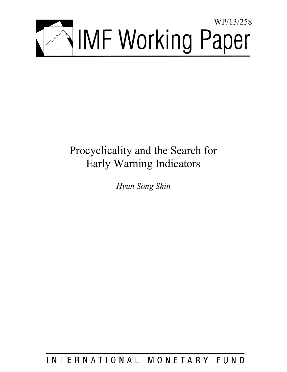

# Procyclicality and the Search for Early Warning Indicators

*Hyun Song Shin* 

INTERNATIONAL MONETARY FUND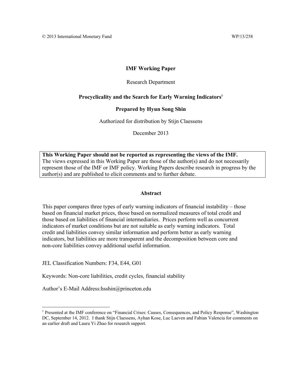## **IMF Working Paper**

## Research Department

## Procyclicality and the Search for Early Warning Indicators<sup>1</sup>

## **Prepared by Hyun Song Shin**

Authorized for distribution by Stijn Claessens

December 2013

**This Working Paper should not be reported as representing the views of the IMF.**  The views expressed in this Working Paper are those of the author(s) and do not necessarily represent those of the IMF or IMF policy. Working Papers describe research in progress by the author(s) and are published to elicit comments and to further debate.

#### **Abstract**

This paper compares three types of early warning indicators of financial instability – those based on financial market prices, those based on normalized measures of total credit and those based on liabilities of financial intermediaries. Prices perform well as concurrent indicators of market conditions but are not suitable as early warning indicators. Total credit and liabilities convey similar information and perform better as early warning indicators, but liabilities are more transparent and the decomposition between core and non-core liabilities convey additional useful information.

JEL Classification Numbers: F34, E44, G01

Keywords: Non-core liabilities, credit cycles, financial stability

Author's E-Mail Address:hsshin@princeton.edu

<sup>&</sup>lt;sup>1</sup> Presented at the IMF conference on "Financial Crises: Causes, Consequences, and Policy Response", Washington DC, September 14, 2012. I thank Stijn Claessens, Ayhan Kose, Luc Laeven and Fabian Valencia for comments on an earlier draft and Laura Yi Zhao for research support.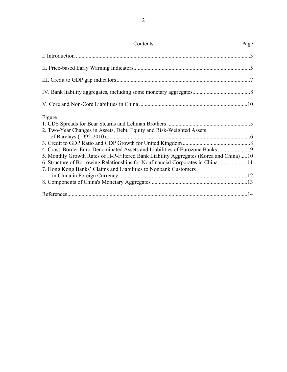| Contents                                                                                                                                                                                                                                                                                                                     | Page |
|------------------------------------------------------------------------------------------------------------------------------------------------------------------------------------------------------------------------------------------------------------------------------------------------------------------------------|------|
|                                                                                                                                                                                                                                                                                                                              |      |
|                                                                                                                                                                                                                                                                                                                              |      |
|                                                                                                                                                                                                                                                                                                                              |      |
|                                                                                                                                                                                                                                                                                                                              |      |
|                                                                                                                                                                                                                                                                                                                              |      |
| Figure<br>2. Two-Year Changes in Assets, Debt, Equity and Risk-Weighted Assets<br>5. Monthly Growth Rates of H-P-Filtered Bank Liability Aggregates (Korea and China)10<br>6. Structure of Borrowing Relationships for Nonfinancial Corporates in China11<br>7. Hong Kong Banks' Claims and Liabilities to Nonbank Customers |      |
|                                                                                                                                                                                                                                                                                                                              |      |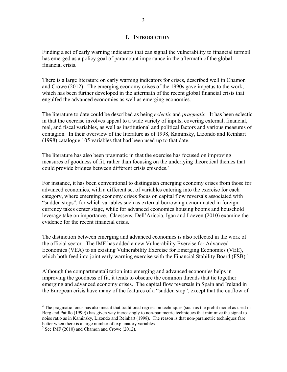#### **I. INTRODUCTION**

Finding a set of early warning indicators that can signal the vulnerability to financial turmoil has emerged as a policy goal of paramount importance in the aftermath of the global financial crisis.

There is a large literature on early warning indicators for crises, described well in Chamon and Crowe (2012). The emerging economy crises of the 1990s gave impetus to the work, which has been further developed in the aftermath of the recent global financial crisis that engulfed the advanced economies as well as emerging economies.

The literature to date could be described as being *eclectic* and *pragmatic*. It has been eclectic in that the exercise involves appeal to a wide variety of inputs, covering external, financial, real, and fiscal variables, as well as institutional and political factors and various measures of contagion. In their overview of the literature as of 1998, Kaminsky, Lizondo and Reinhart (1998) catalogue 105 variables that had been used up to that date.

The literature has also been pragmatic in that the exercise has focused on improving measures of goodness of fit, rather than focusing on the underlying theoretical themes that could provide bridges between different crisis episodes.<sup>2</sup>

For instance, it has been conventional to distinguish emerging economy crises from those for advanced economies, with a different set of variables entering into the exercise for each category, where emerging economy crises focus on capital flow reversals associated with "sudden stops", for which variables such as external borrowing denominated in foreign currency takes center stage, while for advanced economies housing booms and household leverage take on importance. Claessens, Dell'Ariccia, Igan and Laeven (2010) examine the evidence for the recent financial crisis.

The distinction between emerging and advanced economies is also reflected in the work of the official sector. The IMF has added a new Vulnerability Exercise for Advanced Economies (VEA) to an existing Vulnerability Exercise for Emerging Economies (VEE), which both feed into joint early warning exercise with the Financial Stability Board (FSB).<sup>3</sup>

Although the compartmentalization into emerging and advanced economies helps in improving the goodness of fit, it tends to obscure the common threads that tie together emerging and advanced economy crises. The capital flow reversals in Spain and Ireland in the European crisis have many of the features of a "sudden stop", except that the outflow of

 $\overline{a}$ 

 $2^2$  The pragmatic focus has also meant that traditional regression techniques (such as the probit model as used in Berg and Patillo (1999)) has given way increasingly to non-parametric techniques that minimize the signal to noise ratio as in Kaminsky, Lizondo and Reinhart (1998). The reason is that non-parametric techniques fare better when there is a large number of explanatory variables.

 $3$  See IMF (2010) and Chamon and Crowe (2012).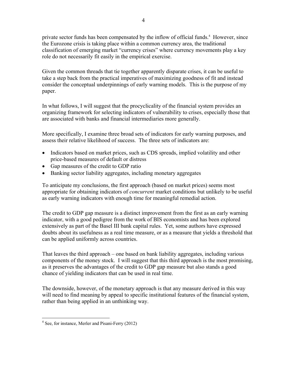private sector funds has been compensated by the inflow of official funds.<sup>4</sup> However, since the Eurozone crisis is taking place within a common currency area, the traditional classification of emerging market "currency crises" where currency movements play a key role do not necessarily fit easily in the empirical exercise.

Given the common threads that tie together apparently disparate crises, it can be useful to take a step back from the practical imperatives of maximizing goodness of fit and instead consider the conceptual underpinnings of early warning models. This is the purpose of my paper.

In what follows, I will suggest that the procyclicality of the financial system provides an organizing framework for selecting indicators of vulnerability to crises, especially those that are associated with banks and financial intermediaries more generally.

More specifically, I examine three broad sets of indicators for early warning purposes, and assess their relative likelihood of success. The three sets of indicators are:

- Indicators based on market prices, such as CDS spreads, implied volatility and other price-based measures of default or distress
- Gap measures of the credit to GDP ratio
- Banking sector liability aggregates, including monetary aggregates

To anticipate my conclusions, the first approach (based on market prices) seems most appropriate for obtaining indicators of *concurrent* market conditions but unlikely to be useful as early warning indicators with enough time for meaningful remedial action.

The credit to GDP gap measure is a distinct improvement from the first as an early warning indicator, with a good pedigree from the work of BIS economists and has been explored extensively as part of the Basel III bank capital rules. Yet, some authors have expressed doubts about its usefulness as a real time measure, or as a measure that yields a threshold that can be applied uniformly across countries.

That leaves the third approach – one based on bank liability aggregates, including various components of the money stock. I will suggest that this third approach is the most promising, as it preserves the advantages of the credit to GDP gap measure but also stands a good chance of yielding indicators that can be used in real time.

The downside, however, of the monetary approach is that any measure derived in this way will need to find meaning by appeal to specific institutional features of the financial system, rather than being applied in an unthinking way.

 4 See, for instance, Merler and Pisani-Ferry (2012)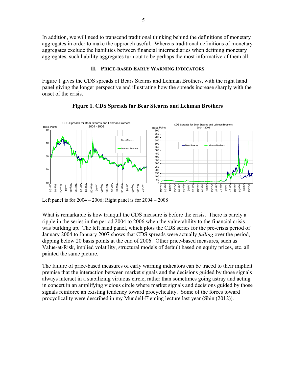In addition, we will need to transcend traditional thinking behind the definitions of monetary aggregates in order to make the approach useful. Whereas traditional definitions of monetary aggregates exclude the liabilities between financial intermediaries when defining monetary aggregates, such liability aggregates turn out to be perhaps the most informative of them all.

#### **II. PRICE-BASED EARLY WARNING INDICATORS**

Figure 1 gives the CDS spreads of Bears Stearns and Lehman Brothers, with the right hand panel giving the longer perspective and illustrating how the spreads increase sharply with the onset of the crisis.



## **Figure 1. CDS Spreads for Bear Stearns and Lehman Brothers**

Left panel is for  $2004 - 2006$ ; Right panel is for  $2004 - 2008$ 

What is remarkable is how tranquil the CDS measure is before the crisis. There is barely a ripple in the series in the period 2004 to 2006 when the vulnerability to the financial crisis was building up. The left hand panel, which plots the CDS series for the pre-crisis period of January 2004 to January 2007 shows that CDS spreads were actually *falling* over the period, dipping below 20 basis points at the end of 2006. Other price-based measures, such as Value-at-Risk, implied volatility, structural models of default based on equity prices, etc. all painted the same picture.

The failure of price-based measures of early warning indicators can be traced to their implicit premise that the interaction between market signals and the decisions guided by those signals always interact in a stabilizing virtuous circle, rather than sometimes going astray and acting in concert in an amplifying vicious circle where market signals and decisions guided by those signals reinforce an existing tendency toward procyclicality. Some of the forces toward procyclicality were described in my Mundell-Fleming lecture last year (Shin (2012)).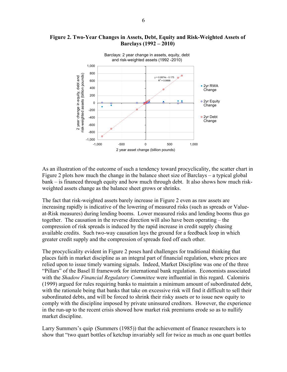#### **Figure 2. Two-Year Changes in Assets, Debt, Equity and Risk-Weighted Assets of Barclays (1992 – 2010)**



As an illustration of the outcome of such a tendency toward procyclicality, the scatter chart in Figure 2 plots how much the change in the balance sheet size of Barclays – a typical global bank – is financed through equity and how much through debt. It also shows how much riskweighted assets change as the balance sheet grows or shrinks.

The fact that risk-weighted assets barely increase in Figure 2 even as raw assets are increasing rapidly is indicative of the lowering of measured risks (such as spreads or Valueat-Risk measures) during lending booms. Lower measured risks and lending booms thus go together. The causation in the reverse direction will also have been operating – the compression of risk spreads is induced by the rapid increase in credit supply chasing available credits. Such two-way causation lays the ground for a feedback loop in which greater credit supply and the compression of spreads feed off each other.

The procyclicality evident in Figure 2 poses hard challenges for traditional thinking that places faith in market discipline as an integral part of financial regulation, where prices are relied upon to issue timely warning signals. Indeed, Market Discipline was one of the three "Pillars" of the Basel II framework for international bank regulation. Economists associated with the *Shadow Financial Regulatory Committee* were influential in this regard. Calomiris (1999) argued for rules requiring banks to maintain a minimum amount of subordinated debt, with the rationale being that banks that take on excessive risk will find it difficult to sell their subordinated debts, and will be forced to shrink their risky assets or to issue new equity to comply with the discipline imposed by private uninsured creditors. However, the experience in the run-up to the recent crisis showed how market risk premiums erode so as to nullify market discipline.

Larry Summers's quip (Summers (1985)) that the achievement of finance researchers is to show that "two quart bottles of ketchup invariably sell for twice as much as one quart bottles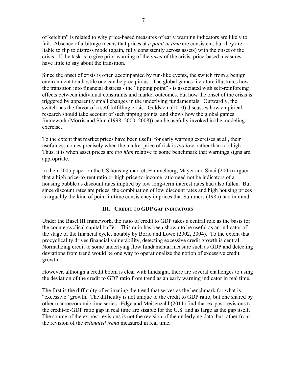of ketchup" is related to why price-based measures of early warning indicators are likely to fail. Absence of arbitrage means that prices at *a point in time* are consistent, but they are liable to flip to distress mode (again, fully consistently across assets) with the onset of the crisis. If the task is to give prior warning of the *onset* of the crisis, price-based measures have little to say about the transition.

Since the onset of crisis is often accompanied by run-like events, the switch from a benign environment to a hostile one can be precipitous. The global games literature illustrates how the transition into financial distress - the "tipping point" - is associated with self-reinforcing effects between individual constraints and market outcomes, but how the onset of the crisis is triggered by apparently small changes in the underlying fundamentals. Outwardly, the switch has the flavor of a self-fulfilling crisis. Goldstein (2010) discusses how empirical research should take account of such tipping points, and shows how the global games framework (Morris and Shin (1998, 2000, 2008)) can be usefully invoked in the modeling exercise.

To the extent that market prices have been useful for early warning exercises at all, their usefulness comes precisely when the market price of risk is *too low*, rather than too high. Thus, it is when asset prices are *too high* relative to some benchmark that warnings signs are appropriate.

In their 2005 paper on the US housing market, Himmelberg, Mayer and Sinai (2005) argued that a high price-to-rent ratio or high price-to-income ratio need not be indicators of a housing bubble as discount rates implied by low long-term interest rates had also fallen. But since discount rates are prices, the combination of low discount rates and high housing prices is arguably the kind of point-in-time consistency in prices that Summers (1985) had in mind.

## **III. CREDIT TO GDP GAP INDICATORS**

Under the Basel III framework, the ratio of credit to GDP takes a central role as the basis for the countercyclical capital buffer. This ratio has been shown to be useful as an indicator of the stage of the financial cycle, notably by Borio and Lowe (2002, 2004). To the extent that procyclicality drives financial vulnerability, detecting excessive credit growth is central. Normalizing credit to some underlying flow fundamental measure such as GDP and detecting deviations from trend would be one way to operationalize the notion of excessive credit growth.

However, although a credit boom is clear with hindsight, there are several challenges to using the deviation of the credit to GDP ratio from trend as an early warning indicator in real time.

The first is the difficulty of estimating the trend that serves as the benchmark for what is "excessive" growth. The difficulty is not unique to the credit to GDP ratio, but one shared by other macroeconomic time series. Edge and Meisenzahl (2011) find that ex-post revisions to the credit-to-GDP ratio gap in real time are sizable for the U.S. and as large as the gap itself. The source of the ex post revisions is not the revision of the underlying data, but rather from the revision of the *estimated trend* measured in real time.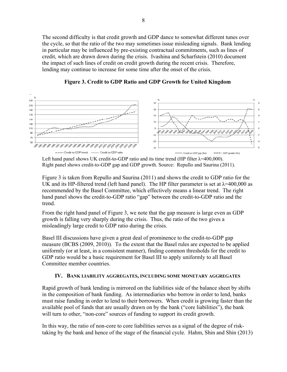The second difficulty is that credit growth and GDP dance to somewhat different tunes over the cycle, so that the ratio of the two may sometimes issue misleading signals. Bank lending in particular may be influenced by pre-existing contractual commitments, such as lines of credit, which are drawn down during the crisis. Ivashina and Scharfstein (2010) document the impact of such lines of credit on credit growth during the recent crisis. Therefore, lending may continue to increase for some time after the onset of the crisis.



**Figure 3. Credit to GDP Ratio and GDP Growth for United Kingdom**

Left hand panel shows UK credit-to-GDP ratio and its time trend (HP filter  $\lambda$ =400,000). Right panel shows credit-to-GDP gap and GDP growth. Source: Repullo and Saurina (2011).

Figure 3 is taken from Repullo and Saurina (2011) and shows the credit to GDP ratio for the UK and its HP-filtered trend (left hand panel). The HP filter parameter is set at  $\lambda$ =400,000 as recommended by the Basel Committee, which effectively means a linear trend. The right hand panel shows the credit-to-GDP ratio "gap" between the credit-to-GDP ratio and the trend.

From the right hand panel of Figure 3, we note that the gap measure is large even as GDP growth is falling very sharply during the crisis. Thus, the ratio of the two gives a misleadingly large credit to GDP ratio during the crisis.

Basel III discussions have given a great deal of prominence to the credit-to-GDP gap measure (BCBS (2009, 2010)). To the extent that the Basel rules are expected to be applied uniformly (or at least, in a consistent manner), finding common thresholds for the credit to GDP ratio would be a basic requirement for Basel III to apply uniformly to all Basel Committee member countries.

## **IV. BANK LIABILITY AGGREGATES, INCLUDING SOME MONETARY AGGREGATES**

Rapid growth of bank lending is mirrored on the liabilities side of the balance sheet by shifts in the composition of bank funding. As intermediaries who borrow in order to lend, banks must raise funding in order to lend to their borrowers. When credit is growing faster than the available pool of funds that are usually drawn on by the bank ("core liabilities"), the bank will turn to other, "non-core" sources of funding to support its credit growth.

In this way, the ratio of non-core to core liabilities serves as a signal of the degree of risktaking by the bank and hence of the stage of the financial cycle. Hahm, Shin and Shin (2013)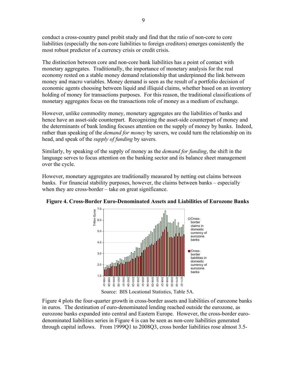conduct a cross-country panel probit study and find that the ratio of non-core to core liabilities (especially the non-core liabilities to foreign creditors) emerges consistently the most robust predictor of a currency crisis or credit crisis.

The distinction between core and non-core bank liabilities has a point of contact with monetary aggregates. Traditionally, the importance of monetary analysis for the real economy rested on a stable money demand relationship that underpinned the link between money and macro variables. Money demand is seen as the result of a portfolio decision of economic agents choosing between liquid and illiquid claims, whether based on an inventory holding of money for transactions purposes. For this reason, the traditional classifications of monetary aggregates focus on the transactions role of money as a medium of exchange.

However, unlike commodity money, monetary aggregates are the liabilities of banks and hence have an asset-side counterpart. Recognizing the asset-side counterpart of money and the determinants of bank lending focuses attention on the supply of money by banks. Indeed, rather than speaking of the *demand for money* by savers, we could turn the relationship on its head, and speak of the *supply of funding* by savers.

Similarly, by speaking of the supply of money as the *demand for funding*, the shift in the language serves to focus attention on the banking sector and its balance sheet management over the cycle.

However, monetary aggregates are traditionally measured by netting out claims between banks. For financial stability purposes, however, the claims between banks – especially when they are cross-border – take on great significance.



**Figure 4. Cross-Border Euro-Denominated Assets and Liabilities of Eurozone Banks** 

Source: BIS Locational Statistics, Table 5A.

Figure 4 plots the four-quarter growth in cross-border assets and liabilities of eurozone banks in euros. The destination of euro-denominated lending reached outside the eurozone, as eurozone banks expanded into central and Eastern Europe. However, the cross-border eurodenominated liabilities series in Figure 4 is can be seen as non-core liabilities generated through capital inflows. From 1999Q1 to 2008Q3, cross border liabilities rose almost 3.5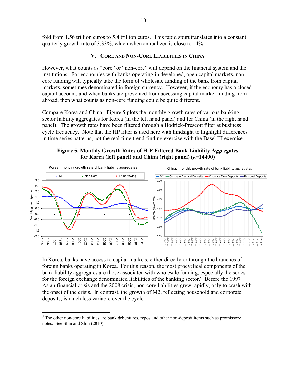fold from 1.56 trillion euros to 5.4 trillion euros. This rapid spurt translates into a constant quarterly growth rate of 3.33%, which when annualized is close to 14%.

#### **V. CORE AND NON-CORE LIABILITIES IN CHINA**

However, what counts as "core" or "non-core" will depend on the financial system and the institutions. For economies with banks operating in developed, open capital markets, noncore funding will typically take the form of wholesale funding of the bank from capital markets, sometimes denominated in foreign currency. However, if the economy has a closed capital account, and when banks are prevented from accessing capital market funding from abroad, then what counts as non-core funding could be quite different.

Compare Korea and China. Figure 5 plots the monthly growth rates of various banking sector liability aggregates for Korea (in the left hand panel) and for China (in the right hand panel). The growth rates have been filtered through a Hodrick-Prescott filter at business cycle frequency. Note that the HP filter is used here with hindsight to highlight differences in time series patterns, not the real-time trend-finding exercise with the Basel III exercise.

## **Figure 5. Monthly Growth Rates of H-P-Filtered Bank Liability Aggregates for Korea (left panel) and China (right panel) (λ=14400)**



In Korea, banks have access to capital markets, either directly or through the branches of foreign banks operating in Korea. For this reason, the most procyclical components of the bank liability aggregates are those associated with wholesale funding, especially the series for the foreign exchange denominated liabilities of the banking sector.<sup>5</sup> Before the 1997 Asian financial crisis and the 2008 crisis, non-core liabilities grew rapidly, only to crash with the onset of the crisis. In contrast, the growth of M2, reflecting household and corporate deposits, is much less variable over the cycle.

 $\overline{a}$ 

 $<sup>5</sup>$  The other non-core liabilities are bank debentures, repos and other non-deposit items such as promissory</sup> notes. See Shin and Shin (2010).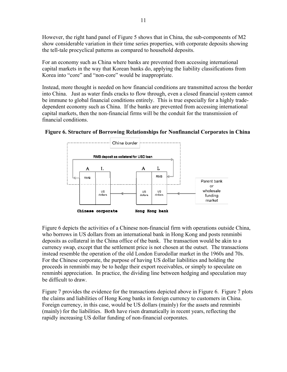However, the right hand panel of Figure 5 shows that in China, the sub-components of M2 show considerable variation in their time series properties, with corporate deposits showing the tell-tale procyclical patterns as compared to household deposits.

For an economy such as China where banks are prevented from accessing international capital markets in the way that Korean banks do, applying the liability classifications from Korea into "core" and "non-core" would be inappropriate.

Instead, more thought is needed on how financial conditions are transmitted across the border into China. Just as water finds cracks to flow through, even a closed financial system cannot be immune to global financial conditions entirely. This is true especially for a highly tradedependent economy such as China. If the banks are prevented from accessing international capital markets, then the non-financial firms will be the conduit for the transmission of financial conditions.





Figure 6 depicts the activities of a Chinese non-financial firm with operations outside China, who borrows in US dollars from an international bank in Hong Kong and posts renminbi deposits as collateral in the China office of the bank. The transaction would be akin to a currency swap, except that the settlement price is not chosen at the outset. The transactions instead resemble the operation of the old London Eurodollar market in the 1960s and 70s. For the Chinese corporate, the purpose of having US dollar liabilities and holding the proceeds in renminbi may be to hedge their export receivables, or simply to speculate on renminbi appreciation. In practice, the dividing line between hedging and speculation may be difficult to draw.

Figure 7 provides the evidence for the transactions depicted above in Figure 6. Figure 7 plots the claims and liabilities of Hong Kong banks in foreign currency to customers in China. Foreign currency, in this case, would be US dollars (mainly) for the assets and renminbi (mainly) for the liabilities. Both have risen dramatically in recent years, reflecting the rapidly increasing US dollar funding of non-financial corporates.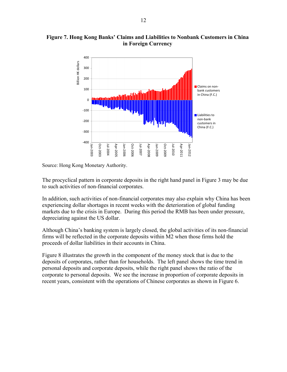

## **Figure 7. Hong Kong Banks' Claims and Liabilities to Nonbank Customers in China in Foreign Currency**

Source: Hong Kong Monetary Authority.

The procyclical pattern in corporate deposits in the right hand panel in Figure 3 may be due to such activities of non-financial corporates.

In addition, such activities of non-financial corporates may also explain why China has been experiencing dollar shortages in recent weeks with the deterioration of global funding markets due to the crisis in Europe. During this period the RMB has been under pressure, depreciating against the US dollar.

Although China's banking system is largely closed, the global activities of its non-financial firms will be reflected in the corporate deposits within M2 when those firms hold the proceeds of dollar liabilities in their accounts in China.

Figure 8 illustrates the growth in the component of the money stock that is due to the deposits of corporates, rather than for households. The left panel shows the time trend in personal deposits and corporate deposits, while the right panel shows the ratio of the corporate to personal deposits. We see the increase in proportion of corporate deposits in recent years, consistent with the operations of Chinese corporates as shown in Figure 6.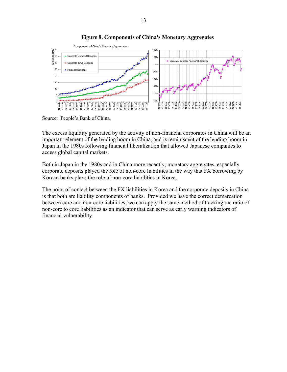

## **Figure 8. Components of China's Monetary Aggregates**

Source: People's Bank of China.

The excess liquidity generated by the activity of non-financial corporates in China will be an important element of the lending boom in China, and is reminiscent of the lending boom in Japan in the 1980s following financial liberalization that allowed Japanese companies to access global capital markets.

Both in Japan in the 1980s and in China more recently, monetary aggregates, especially corporate deposits played the role of non-core liabilities in the way that FX borrowing by Korean banks plays the role of non-core liabilities in Korea.

The point of contact between the FX liabilities in Korea and the corporate deposits in China is that both are liability components of banks. Provided we have the correct demarcation between core and non-core liabilities, we can apply the same method of tracking the ratio of non-core to core liabilities as an indicator that can serve as early warning indicators of financial vulnerability.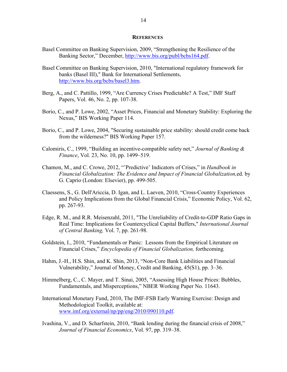#### **REFERENCES**

- Basel Committee on Banking Supervision, 2009, "Strengthening the Resilience of the Banking Sector," December, http://www.bis.org/publ/bcbs164.pdf.
- Basel Committee on Banking Supervision, 2010, "International regulatory framework for banks (Basel III)," Bank for International Settlements, http://www.bis.org/bcbs/basel3.htm.
- Berg, A., and C. Pattillo, 1999, "Are Currency Crises Predictable? A Test," IMF Staff Papers, Vol. 46, No. 2, pp. 107-38.
- Borio, C., and P. Lowe, 2002, "Asset Prices, Financial and Monetary Stability: Exploring the Nexus," BIS Working Paper 114.
- Borio, C., and P. Lowe, 2004, "Securing sustainable price stability: should credit come back from the wilderness?" BIS Working Paper 157.
- Calomiris, C., 1999, "Building an incentive-compatible safety net," *Journal of Banking & Finance*, Vol. 23, No. 10, pp. 1499–519.
- Chamon, M., and C. Crowe, 2012, "'Predictive' Indicators of Crises," in *Handbook in Financial Globalization: The Evidence and Impact of Financial Globalization,*ed. by G. Caprio (London: Elsevier), pp. 499-505.
- Claessens, S., G. Dell'Ariccia, D. Igan, and L. Laeven, 2010, "Cross-Country Experiences and Policy Implications from the Global Financial Crisis," Economic Policy, Vol. 62, pp. 267-93.
- Edge, R. M., and R.R. Meisenzahl, 2011, "The Unreliability of Credit-to-GDP Ratio Gaps in Real Time: Implications for Countercyclical Capital Buffers," *International Journal of Central Banking,* Vol. 7, pp. 261-98.
- Goldstein, I., 2010, "Fundamentals or Panic: Lessons from the Empirical Literature on Financial Crises," *Encyclopedia of Financial Globalization,* forthcoming*.*
- Hahm, J.-H., H.S. Shin, and K. Shin, 2013, "Non-Core Bank Liabilities and Financial Vulnerability," Journal of Money, Credit and Banking, 45(S1), pp. 3–36.
- Himmelberg, C., C. Mayer, and T. Sinai, 2005, "Assessing High House Prices: Bubbles, Fundamentals, and Misperceptions," NBER Working Paper No. 11643.
- International Monetary Fund, 2010, The IMF-FSB Early Warning Exercise: Design and Methodological Toolkit, available at: www.imf.org/external/np/pp/eng/2010/090110.pdf.
- Ivashina, V., and D. Scharfstein, 2010, "Bank lending during the financial crisis of 2008," *Journal of Financial Economics*, Vol. 97, pp. 319–38.